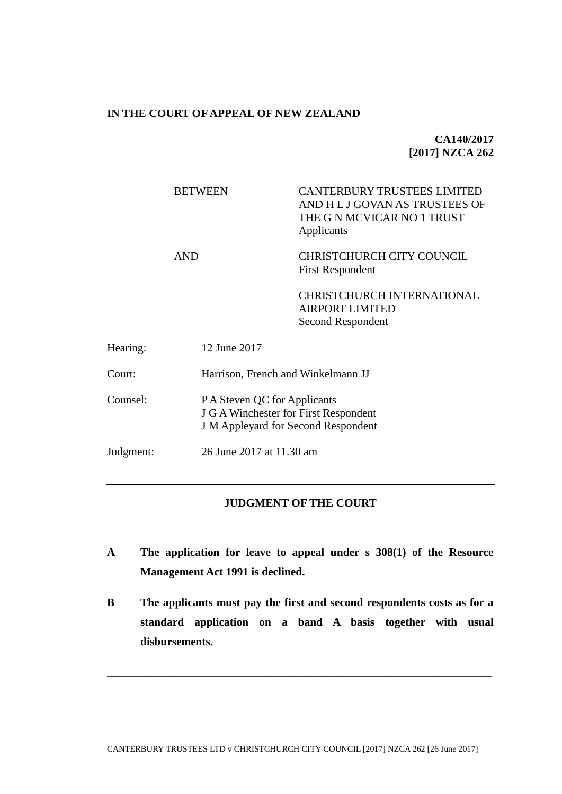## **IN THE COURT OF APPEAL OF NEW ZEALAND**

**CA140/2017 [2017] NZCA 262**

|           | <b>BETWEEN</b> | <b>CANTERBURY TRUSTEES LIMITED</b><br>AND H L J GOVAN AS TRUSTEES OF<br>THE G N MCVICAR NO 1 TRUST<br>Applicants    |  |
|-----------|----------------|---------------------------------------------------------------------------------------------------------------------|--|
|           | <b>AND</b>     | CHRISTCHURCH CITY COUNCIL<br><b>First Respondent</b>                                                                |  |
|           |                | <b>CHRISTCHURCH INTERNATIONAL</b><br><b>AIRPORT LIMITED</b><br>Second Respondent                                    |  |
| Hearing:  | 12 June 2017   |                                                                                                                     |  |
| Court:    |                | Harrison, French and Winkelmann JJ                                                                                  |  |
| Counsel:  |                | P A Steven QC for Applicants<br>J G A Winchester for First Respondent<br><b>J</b> M Appleyard for Second Respondent |  |
| Judgment: |                | 26 June 2017 at 11.30 am                                                                                            |  |
|           |                |                                                                                                                     |  |

### **JUDGMENT OF THE COURT**

- **A The application for leave to appeal under s 308(1) of the Resource Management Act 1991 is declined.**
- **B The applicants must pay the first and second respondents costs as for a standard application on a band A basis together with usual disbursements.**

\_\_\_\_\_\_\_\_\_\_\_\_\_\_\_\_\_\_\_\_\_\_\_\_\_\_\_\_\_\_\_\_\_\_\_\_\_\_\_\_\_\_\_\_\_\_\_\_\_\_\_\_\_\_\_\_\_\_\_\_\_\_\_\_\_\_\_\_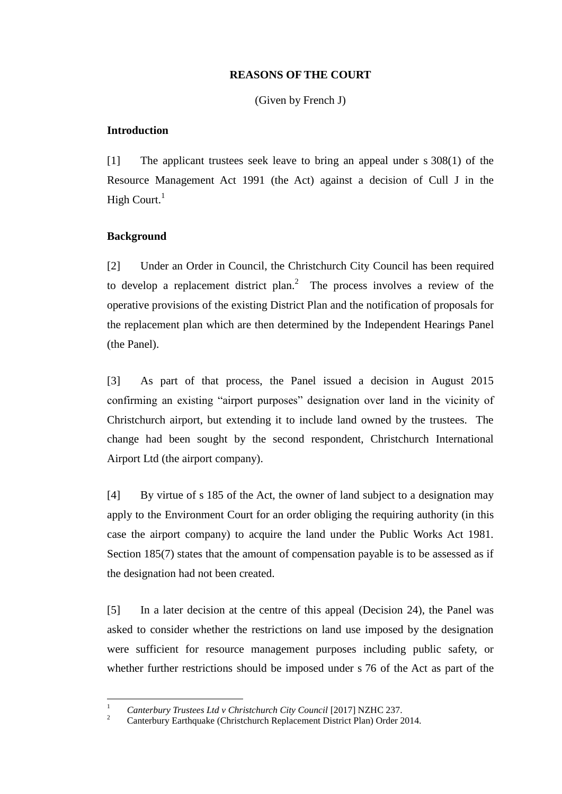#### **REASONS OF THE COURT**

(Given by French J)

### **Introduction**

[1] The applicant trustees seek leave to bring an appeal under s 308(1) of the Resource Management Act 1991 (the Act) against a decision of Cull J in the High Court. $<sup>1</sup>$ </sup>

# <span id="page-1-0"></span>**Background**

[2] Under an Order in Council, the Christchurch City Council has been required to develop a replacement district plan.<sup>2</sup> The process involves a review of the operative provisions of the existing District Plan and the notification of proposals for the replacement plan which are then determined by the Independent Hearings Panel (the Panel).

[3] As part of that process, the Panel issued a decision in August 2015 confirming an existing "airport purposes" designation over land in the vicinity of Christchurch airport, but extending it to include land owned by the trustees. The change had been sought by the second respondent, Christchurch International Airport Ltd (the airport company).

[4] By virtue of s 185 of the Act, the owner of land subject to a designation may apply to the Environment Court for an order obliging the requiring authority (in this case the airport company) to acquire the land under the Public Works Act 1981. Section 185(7) states that the amount of compensation payable is to be assessed as if the designation had not been created.

[5] In a later decision at the centre of this appeal (Decision 24), the Panel was asked to consider whether the restrictions on land use imposed by the designation were sufficient for resource management purposes including public safety, or whether further restrictions should be imposed under s 76 of the Act as part of the

 $\overline{1}$ <sup>1</sup> *Canterbury Trustees Ltd v Christchurch City Council* [2017] NZHC 237.

<sup>2</sup> Canterbury Earthquake (Christchurch Replacement District Plan) Order 2014.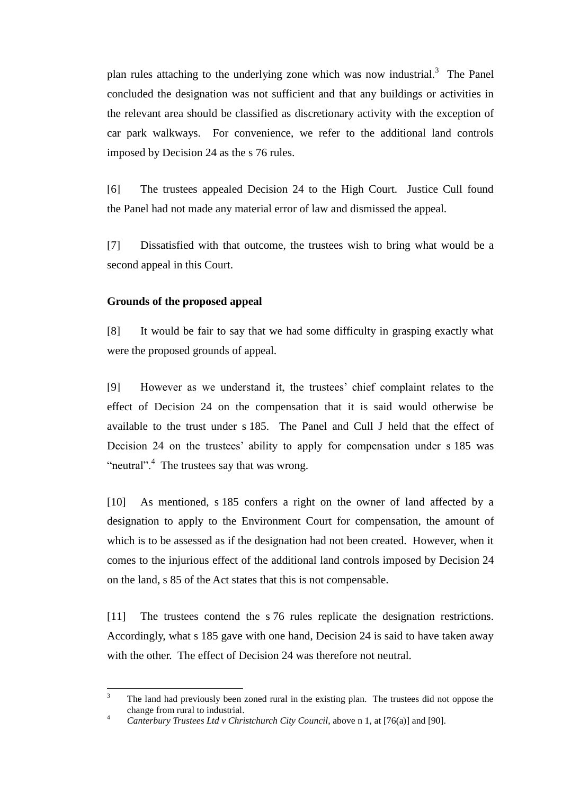plan rules attaching to the underlying zone which was now industrial.<sup>3</sup> The Panel concluded the designation was not sufficient and that any buildings or activities in the relevant area should be classified as discretionary activity with the exception of car park walkways. For convenience, we refer to the additional land controls imposed by Decision 24 as the s 76 rules.

[6] The trustees appealed Decision 24 to the High Court. Justice Cull found the Panel had not made any material error of law and dismissed the appeal.

[7] Dissatisfied with that outcome, the trustees wish to bring what would be a second appeal in this Court.

#### **Grounds of the proposed appeal**

[8] It would be fair to say that we had some difficulty in grasping exactly what were the proposed grounds of appeal.

[9] However as we understand it, the trustees' chief complaint relates to the effect of Decision 24 on the compensation that it is said would otherwise be available to the trust under s 185. The Panel and Cull J held that the effect of Decision 24 on the trustees' ability to apply for compensation under s 185 was "neutral".<sup>4</sup> The trustees say that was wrong.

[10] As mentioned, s 185 confers a right on the owner of land affected by a designation to apply to the Environment Court for compensation, the amount of which is to be assessed as if the designation had not been created. However, when it comes to the injurious effect of the additional land controls imposed by Decision 24 on the land, s 85 of the Act states that this is not compensable.

[11] The trustees contend the s 76 rules replicate the designation restrictions. Accordingly, what s 185 gave with one hand, Decision 24 is said to have taken away with the other. The effect of Decision 24 was therefore not neutral.

<sup>3</sup> <sup>3</sup> The land had previously been zoned rural in the existing plan. The trustees did not oppose the change from rural to industrial.

<sup>4</sup> *Canterbury Trustees Ltd v Christchurch City Council*, above n [1,](#page-1-0) at [76(a)] and [90].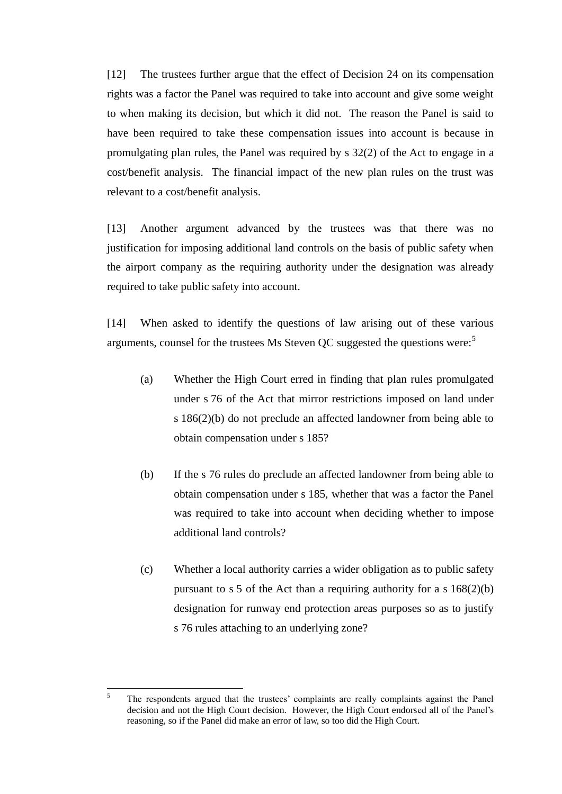[12] The trustees further argue that the effect of Decision 24 on its compensation rights was a factor the Panel was required to take into account and give some weight to when making its decision, but which it did not. The reason the Panel is said to have been required to take these compensation issues into account is because in promulgating plan rules, the Panel was required by s 32(2) of the Act to engage in a cost/benefit analysis. The financial impact of the new plan rules on the trust was relevant to a cost/benefit analysis.

[13] Another argument advanced by the trustees was that there was no justification for imposing additional land controls on the basis of public safety when the airport company as the requiring authority under the designation was already required to take public safety into account.

[14] When asked to identify the questions of law arising out of these various arguments, counsel for the trustees Ms Steven QC suggested the questions were:<sup>5</sup>

- (a) Whether the High Court erred in finding that plan rules promulgated under s 76 of the Act that mirror restrictions imposed on land under s 186(2)(b) do not preclude an affected landowner from being able to obtain compensation under s 185?
- (b) If the s 76 rules do preclude an affected landowner from being able to obtain compensation under s 185, whether that was a factor the Panel was required to take into account when deciding whether to impose additional land controls?
- (c) Whether a local authority carries a wider obligation as to public safety pursuant to s 5 of the Act than a requiring authority for a s 168(2)(b) designation for runway end protection areas purposes so as to justify s 76 rules attaching to an underlying zone?

<sup>5</sup> <sup>5</sup> The respondents argued that the trustees' complaints are really complaints against the Panel decision and not the High Court decision. However, the High Court endorsed all of the Panel's reasoning, so if the Panel did make an error of law, so too did the High Court.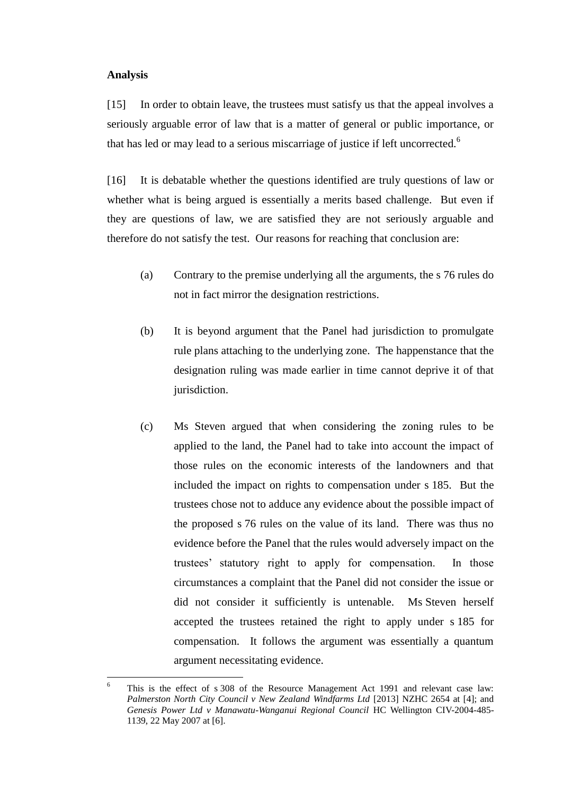#### **Analysis**

 $\overline{a}$ 

[15] In order to obtain leave, the trustees must satisfy us that the appeal involves a seriously arguable error of law that is a matter of general or public importance, or that has led or may lead to a serious miscarriage of justice if left uncorrected.<sup>6</sup>

[16] It is debatable whether the questions identified are truly questions of law or whether what is being argued is essentially a merits based challenge. But even if they are questions of law, we are satisfied they are not seriously arguable and therefore do not satisfy the test. Our reasons for reaching that conclusion are:

- (a) Contrary to the premise underlying all the arguments, the s 76 rules do not in fact mirror the designation restrictions.
- (b) It is beyond argument that the Panel had jurisdiction to promulgate rule plans attaching to the underlying zone. The happenstance that the designation ruling was made earlier in time cannot deprive it of that jurisdiction.
- (c) Ms Steven argued that when considering the zoning rules to be applied to the land, the Panel had to take into account the impact of those rules on the economic interests of the landowners and that included the impact on rights to compensation under s 185. But the trustees chose not to adduce any evidence about the possible impact of the proposed s 76 rules on the value of its land. There was thus no evidence before the Panel that the rules would adversely impact on the trustees' statutory right to apply for compensation. In those circumstances a complaint that the Panel did not consider the issue or did not consider it sufficiently is untenable. Ms Steven herself accepted the trustees retained the right to apply under s 185 for compensation. It follows the argument was essentially a quantum argument necessitating evidence.

This is the effect of s 308 of the Resource Management Act 1991 and relevant case law: *Palmerston North City Council v New Zealand Windfarms Ltd* [2013] NZHC 2654 at [4]; and *Genesis Power Ltd v Manawatu-Wanganui Regional Council* HC Wellington CIV-2004-485- 1139, 22 May 2007 at [6].